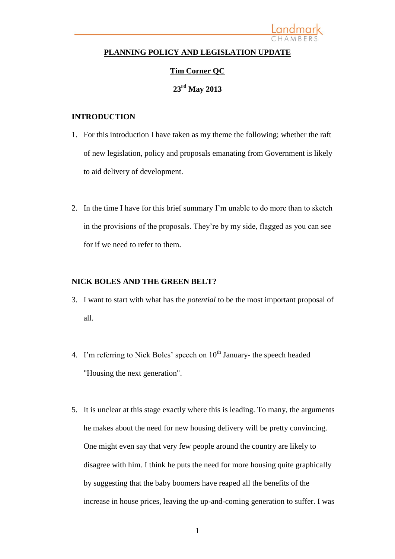#### **PLANNING POLICY AND LEGISLATION UPDATE**

Landmark

#### **Tim Corner QC**

### **23rd May 2013**

#### **INTRODUCTION**

- 1. For this introduction I have taken as my theme the following; whether the raft of new legislation, policy and proposals emanating from Government is likely to aid delivery of development.
- 2. In the time I have for this brief summary I'm unable to do more than to sketch in the provisions of the proposals. They're by my side, flagged as you can see for if we need to refer to them.

#### **NICK BOLES AND THE GREEN BELT?**

- 3. I want to start with what has the *potential* to be the most important proposal of all.
- 4. I'm referring to Nick Boles' speech on  $10^{th}$  January- the speech headed "Housing the next generation".
- 5. It is unclear at this stage exactly where this is leading. To many, the arguments he makes about the need for new housing delivery will be pretty convincing. One might even say that very few people around the country are likely to disagree with him. I think he puts the need for more housing quite graphically by suggesting that the baby boomers have reaped all the benefits of the increase in house prices, leaving the up-and-coming generation to suffer. I was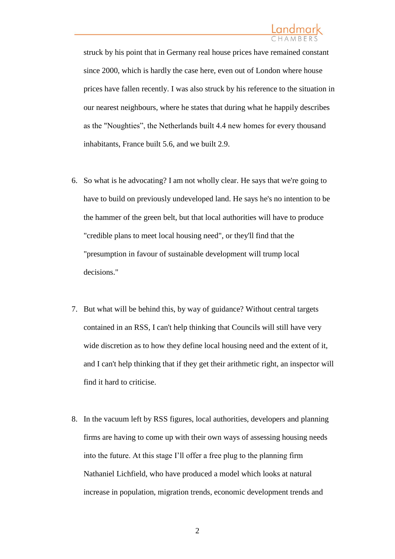struck by his point that in Germany real house prices have remained constant since 2000, which is hardly the case here, even out of London where house prices have fallen recently. I was also struck by his reference to the situation in our nearest neighbours, where he states that during what he happily describes as the "Noughties", the Netherlands built 4.4 new homes for every thousand inhabitants, France built 5.6, and we built 2.9.

- 6. So what is he advocating? I am not wholly clear. He says that we're going to have to build on previously undeveloped land. He says he's no intention to be the hammer of the green belt, but that local authorities will have to produce "credible plans to meet local housing need", or they'll find that the "presumption in favour of sustainable development will trump local decisions."
- 7. But what will be behind this, by way of guidance? Without central targets contained in an RSS, I can't help thinking that Councils will still have very wide discretion as to how they define local housing need and the extent of it, and I can't help thinking that if they get their arithmetic right, an inspector will find it hard to criticise.
- 8. In the vacuum left by RSS figures, local authorities, developers and planning firms are having to come up with their own ways of assessing housing needs into the future. At this stage I'll offer a free plug to the planning firm Nathaniel Lichfield, who have produced a model which looks at natural increase in population, migration trends, economic development trends and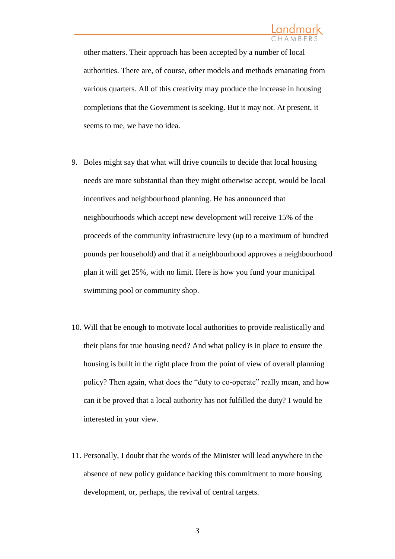other matters. Their approach has been accepted by a number of local authorities. There are, of course, other models and methods emanating from various quarters. All of this creativity may produce the increase in housing completions that the Government is seeking. But it may not. At present, it seems to me, we have no idea.

- 9. Boles might say that what will drive councils to decide that local housing needs are more substantial than they might otherwise accept, would be local incentives and neighbourhood planning. He has announced that neighbourhoods which accept new development will receive 15% of the proceeds of the community infrastructure levy (up to a maximum of hundred pounds per household) and that if a neighbourhood approves a neighbourhood plan it will get 25%, with no limit. Here is how you fund your municipal swimming pool or community shop.
- 10. Will that be enough to motivate local authorities to provide realistically and their plans for true housing need? And what policy is in place to ensure the housing is built in the right place from the point of view of overall planning policy? Then again, what does the "duty to co-operate" really mean, and how can it be proved that a local authority has not fulfilled the duty? I would be interested in your view.
- 11. Personally, I doubt that the words of the Minister will lead anywhere in the absence of new policy guidance backing this commitment to more housing development, or, perhaps, the revival of central targets.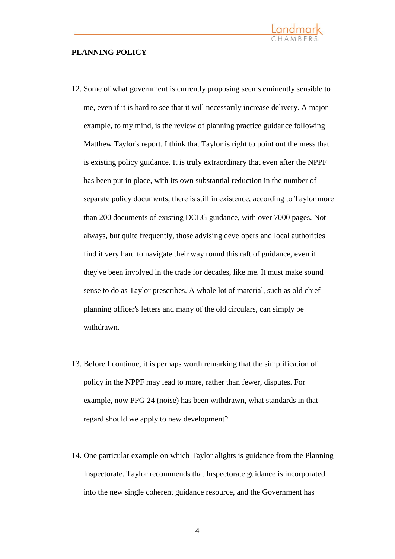#### **PLANNING POLICY**

12. Some of what government is currently proposing seems eminently sensible to me, even if it is hard to see that it will necessarily increase delivery. A major example, to my mind, is the review of planning practice guidance following Matthew Taylor's report. I think that Taylor is right to point out the mess that is existing policy guidance. It is truly extraordinary that even after the NPPF has been put in place, with its own substantial reduction in the number of separate policy documents, there is still in existence, according to Taylor more than 200 documents of existing DCLG guidance, with over 7000 pages. Not always, but quite frequently, those advising developers and local authorities find it very hard to navigate their way round this raft of guidance, even if they've been involved in the trade for decades, like me. It must make sound sense to do as Taylor prescribes. A whole lot of material, such as old chief planning officer's letters and many of the old circulars, can simply be withdrawn.

<u>Landmark</u>

- 13. Before I continue, it is perhaps worth remarking that the simplification of policy in the NPPF may lead to more, rather than fewer, disputes. For example, now PPG 24 (noise) has been withdrawn, what standards in that regard should we apply to new development?
- 14. One particular example on which Taylor alights is guidance from the Planning Inspectorate. Taylor recommends that Inspectorate guidance is incorporated into the new single coherent guidance resource, and the Government has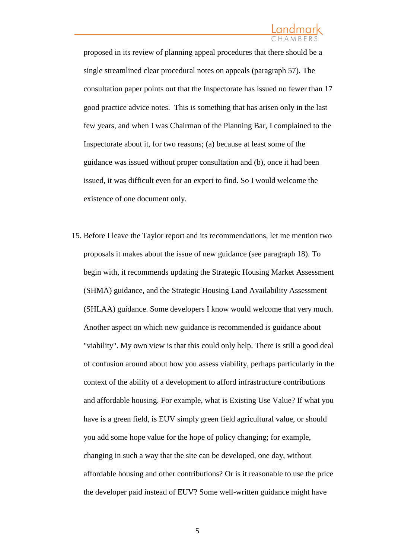proposed in its review of planning appeal procedures that there should be a single streamlined clear procedural notes on appeals (paragraph 57). The consultation paper points out that the Inspectorate has issued no fewer than 17 good practice advice notes. This is something that has arisen only in the last few years, and when I was Chairman of the Planning Bar, I complained to the Inspectorate about it, for two reasons; (a) because at least some of the guidance was issued without proper consultation and (b), once it had been issued, it was difficult even for an expert to find. So I would welcome the existence of one document only.

15. Before I leave the Taylor report and its recommendations, let me mention two proposals it makes about the issue of new guidance (see paragraph 18). To begin with, it recommends updating the Strategic Housing Market Assessment (SHMA) guidance, and the Strategic Housing Land Availability Assessment (SHLAA) guidance. Some developers I know would welcome that very much. Another aspect on which new guidance is recommended is guidance about "viability". My own view is that this could only help. There is still a good deal of confusion around about how you assess viability, perhaps particularly in the context of the ability of a development to afford infrastructure contributions and affordable housing. For example, what is Existing Use Value? If what you have is a green field, is EUV simply green field agricultural value, or should you add some hope value for the hope of policy changing; for example, changing in such a way that the site can be developed, one day, without affordable housing and other contributions? Or is it reasonable to use the price the developer paid instead of EUV? Some well-written guidance might have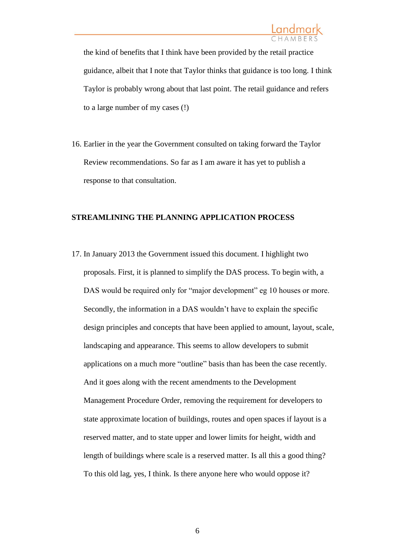the kind of benefits that I think have been provided by the retail practice guidance, albeit that I note that Taylor thinks that guidance is too long. I think Taylor is probably wrong about that last point. The retail guidance and refers to a large number of my cases (!)

16. Earlier in the year the Government consulted on taking forward the Taylor Review recommendations. So far as I am aware it has yet to publish a response to that consultation.

#### **STREAMLINING THE PLANNING APPLICATION PROCESS**

17. In January 2013 the Government issued this document. I highlight two proposals. First, it is planned to simplify the DAS process. To begin with, a DAS would be required only for "major development" eg 10 houses or more. Secondly, the information in a DAS wouldn't have to explain the specific design principles and concepts that have been applied to amount, layout, scale, landscaping and appearance. This seems to allow developers to submit applications on a much more "outline" basis than has been the case recently. And it goes along with the recent amendments to the Development Management Procedure Order, removing the requirement for developers to state approximate location of buildings, routes and open spaces if layout is a reserved matter, and to state upper and lower limits for height, width and length of buildings where scale is a reserved matter. Is all this a good thing? To this old lag, yes, I think. Is there anyone here who would oppose it?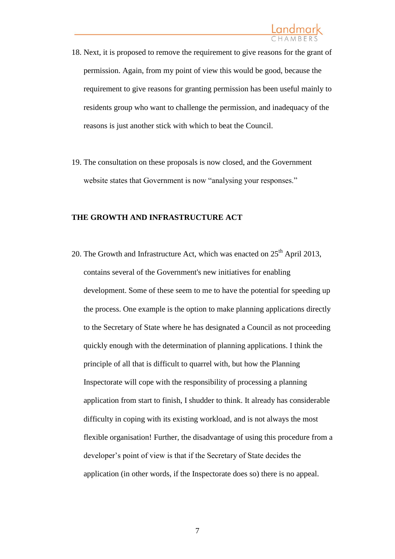- 18. Next, it is proposed to remove the requirement to give reasons for the grant of permission. Again, from my point of view this would be good, because the requirement to give reasons for granting permission has been useful mainly to residents group who want to challenge the permission, and inadequacy of the reasons is just another stick with which to beat the Council.
- 19. The consultation on these proposals is now closed, and the Government website states that Government is now "analysing your responses."

#### **THE GROWTH AND INFRASTRUCTURE ACT**

20. The Growth and Infrastructure Act, which was enacted on  $25<sup>th</sup>$  April 2013, contains several of the Government's new initiatives for enabling development. Some of these seem to me to have the potential for speeding up the process. One example is the option to make planning applications directly to the Secretary of State where he has designated a Council as not proceeding quickly enough with the determination of planning applications. I think the principle of all that is difficult to quarrel with, but how the Planning Inspectorate will cope with the responsibility of processing a planning application from start to finish, I shudder to think. It already has considerable difficulty in coping with its existing workload, and is not always the most flexible organisation! Further, the disadvantage of using this procedure from a developer's point of view is that if the Secretary of State decides the application (in other words, if the Inspectorate does so) there is no appeal.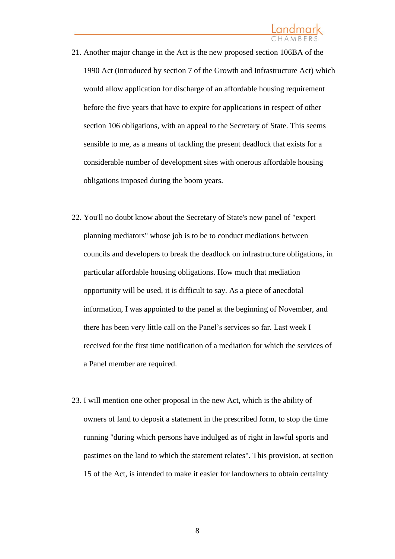- 21. Another major change in the Act is the new proposed section 106BA of the 1990 Act (introduced by section 7 of the Growth and Infrastructure Act) which would allow application for discharge of an affordable housing requirement before the five years that have to expire for applications in respect of other section 106 obligations, with an appeal to the Secretary of State. This seems sensible to me, as a means of tackling the present deadlock that exists for a considerable number of development sites with onerous affordable housing obligations imposed during the boom years.
- 22. You'll no doubt know about the Secretary of State's new panel of "expert planning mediators" whose job is to be to conduct mediations between councils and developers to break the deadlock on infrastructure obligations, in particular affordable housing obligations. How much that mediation opportunity will be used, it is difficult to say. As a piece of anecdotal information, I was appointed to the panel at the beginning of November, and there has been very little call on the Panel's services so far. Last week I received for the first time notification of a mediation for which the services of a Panel member are required.
- 23. I will mention one other proposal in the new Act, which is the ability of owners of land to deposit a statement in the prescribed form, to stop the time running "during which persons have indulged as of right in lawful sports and pastimes on the land to which the statement relates". This provision, at section 15 of the Act, is intended to make it easier for landowners to obtain certainty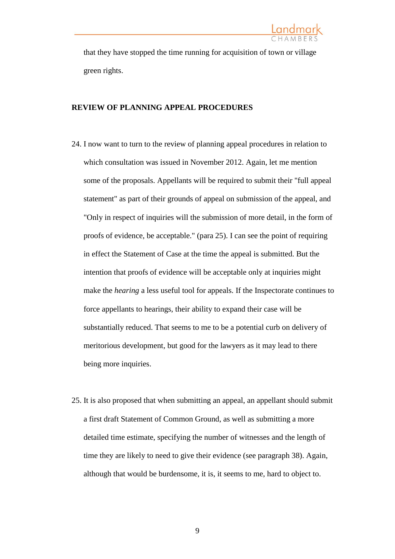that they have stopped the time running for acquisition of town or village green rights.

#### **REVIEW OF PLANNING APPEAL PROCEDURES**

- 24. I now want to turn to the review of planning appeal procedures in relation to which consultation was issued in November 2012. Again, let me mention some of the proposals. Appellants will be required to submit their "full appeal statement" as part of their grounds of appeal on submission of the appeal, and "Only in respect of inquiries will the submission of more detail, in the form of proofs of evidence, be acceptable." (para 25). I can see the point of requiring in effect the Statement of Case at the time the appeal is submitted. But the intention that proofs of evidence will be acceptable only at inquiries might make the *hearing* a less useful tool for appeals. If the Inspectorate continues to force appellants to hearings, their ability to expand their case will be substantially reduced. That seems to me to be a potential curb on delivery of meritorious development, but good for the lawyers as it may lead to there being more inquiries.
- 25. It is also proposed that when submitting an appeal, an appellant should submit a first draft Statement of Common Ground, as well as submitting a more detailed time estimate, specifying the number of witnesses and the length of time they are likely to need to give their evidence (see paragraph 38). Again, although that would be burdensome, it is, it seems to me, hard to object to.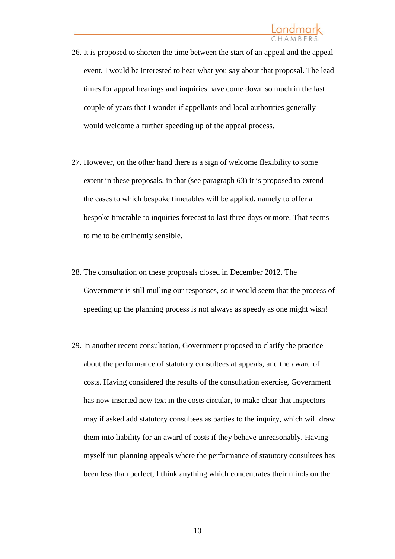### <u>Landmark</u>

- 26. It is proposed to shorten the time between the start of an appeal and the appeal event. I would be interested to hear what you say about that proposal. The lead times for appeal hearings and inquiries have come down so much in the last couple of years that I wonder if appellants and local authorities generally would welcome a further speeding up of the appeal process.
- 27. However, on the other hand there is a sign of welcome flexibility to some extent in these proposals, in that (see paragraph 63) it is proposed to extend the cases to which bespoke timetables will be applied, namely to offer a bespoke timetable to inquiries forecast to last three days or more. That seems to me to be eminently sensible.
- 28. The consultation on these proposals closed in December 2012. The Government is still mulling our responses, so it would seem that the process of speeding up the planning process is not always as speedy as one might wish!
- 29. In another recent consultation, Government proposed to clarify the practice about the performance of statutory consultees at appeals, and the award of costs. Having considered the results of the consultation exercise, Government has now inserted new text in the costs circular, to make clear that inspectors may if asked add statutory consultees as parties to the inquiry, which will draw them into liability for an award of costs if they behave unreasonably. Having myself run planning appeals where the performance of statutory consultees has been less than perfect, I think anything which concentrates their minds on the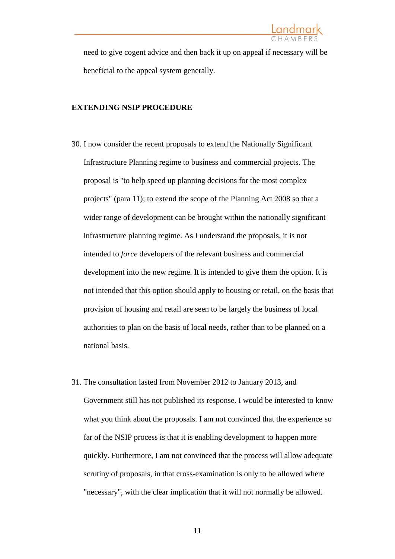need to give cogent advice and then back it up on appeal if necessary will be beneficial to the appeal system generally.

#### **EXTENDING NSIP PROCEDURE**

- 30. I now consider the recent proposals to extend the Nationally Significant Infrastructure Planning regime to business and commercial projects. The proposal is "to help speed up planning decisions for the most complex projects" (para 11); to extend the scope of the Planning Act 2008 so that a wider range of development can be brought within the nationally significant infrastructure planning regime. As I understand the proposals, it is not intended to *force* developers of the relevant business and commercial development into the new regime. It is intended to give them the option. It is not intended that this option should apply to housing or retail, on the basis that provision of housing and retail are seen to be largely the business of local authorities to plan on the basis of local needs, rather than to be planned on a national basis.
- 31. The consultation lasted from November 2012 to January 2013, and Government still has not published its response. I would be interested to know what you think about the proposals. I am not convinced that the experience so far of the NSIP process is that it is enabling development to happen more quickly. Furthermore, I am not convinced that the process will allow adequate scrutiny of proposals, in that cross-examination is only to be allowed where "necessary", with the clear implication that it will not normally be allowed.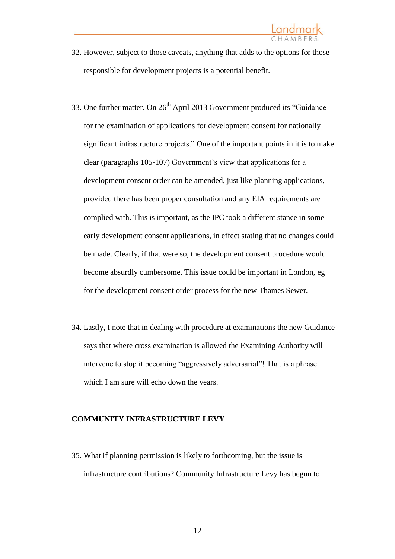- 32. However, subject to those caveats, anything that adds to the options for those responsible for development projects is a potential benefit.
- 33. One further matter. On  $26<sup>th</sup>$  April 2013 Government produced its "Guidance" for the examination of applications for development consent for nationally significant infrastructure projects." One of the important points in it is to make clear (paragraphs 105-107) Government's view that applications for a development consent order can be amended, just like planning applications, provided there has been proper consultation and any EIA requirements are complied with. This is important, as the IPC took a different stance in some early development consent applications, in effect stating that no changes could be made. Clearly, if that were so, the development consent procedure would become absurdly cumbersome. This issue could be important in London, eg for the development consent order process for the new Thames Sewer.
- 34. Lastly, I note that in dealing with procedure at examinations the new Guidance says that where cross examination is allowed the Examining Authority will intervene to stop it becoming "aggressively adversarial"! That is a phrase which I am sure will echo down the years.

#### **COMMUNITY INFRASTRUCTURE LEVY**

35. What if planning permission is likely to forthcoming, but the issue is infrastructure contributions? Community Infrastructure Levy has begun to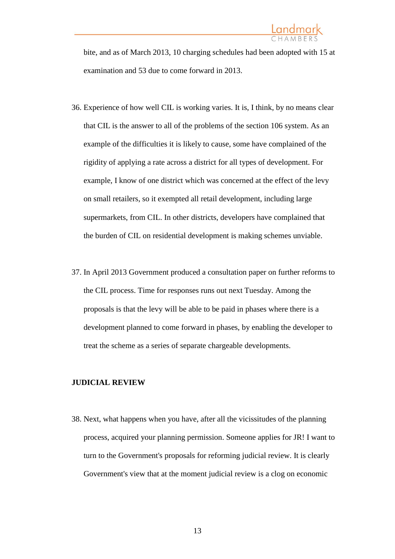bite, and as of March 2013, 10 charging schedules had been adopted with 15 at examination and 53 due to come forward in 2013.

- 36. Experience of how well CIL is working varies. It is, I think, by no means clear that CIL is the answer to all of the problems of the section 106 system. As an example of the difficulties it is likely to cause, some have complained of the rigidity of applying a rate across a district for all types of development. For example, I know of one district which was concerned at the effect of the levy on small retailers, so it exempted all retail development, including large supermarkets, from CIL. In other districts, developers have complained that the burden of CIL on residential development is making schemes unviable.
- 37. In April 2013 Government produced a consultation paper on further reforms to the CIL process. Time for responses runs out next Tuesday. Among the proposals is that the levy will be able to be paid in phases where there is a development planned to come forward in phases, by enabling the developer to treat the scheme as a series of separate chargeable developments.

#### **JUDICIAL REVIEW**

38. Next, what happens when you have, after all the vicissitudes of the planning process, acquired your planning permission. Someone applies for JR! I want to turn to the Government's proposals for reforming judicial review. It is clearly Government's view that at the moment judicial review is a clog on economic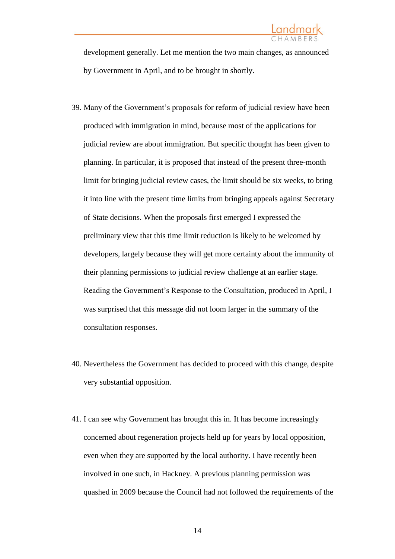development generally. Let me mention the two main changes, as announced by Government in April, and to be brought in shortly.

- 39. Many of the Government's proposals for reform of judicial review have been produced with immigration in mind, because most of the applications for judicial review are about immigration. But specific thought has been given to planning. In particular, it is proposed that instead of the present three-month limit for bringing judicial review cases, the limit should be six weeks, to bring it into line with the present time limits from bringing appeals against Secretary of State decisions. When the proposals first emerged I expressed the preliminary view that this time limit reduction is likely to be welcomed by developers, largely because they will get more certainty about the immunity of their planning permissions to judicial review challenge at an earlier stage. Reading the Government's Response to the Consultation, produced in April, I was surprised that this message did not loom larger in the summary of the consultation responses.
- 40. Nevertheless the Government has decided to proceed with this change, despite very substantial opposition.
- 41. I can see why Government has brought this in. It has become increasingly concerned about regeneration projects held up for years by local opposition, even when they are supported by the local authority. I have recently been involved in one such, in Hackney. A previous planning permission was quashed in 2009 because the Council had not followed the requirements of the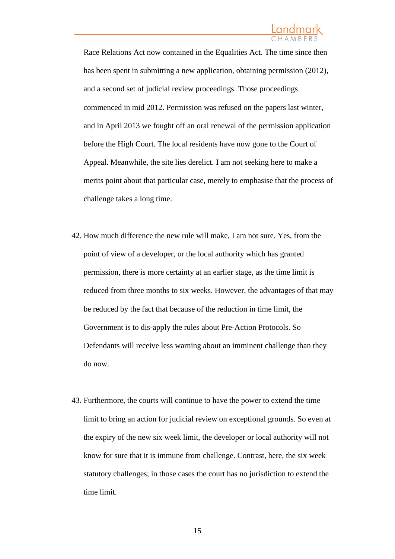### <u>Landmark</u>

Race Relations Act now contained in the Equalities Act. The time since then has been spent in submitting a new application, obtaining permission (2012), and a second set of judicial review proceedings. Those proceedings commenced in mid 2012. Permission was refused on the papers last winter, and in April 2013 we fought off an oral renewal of the permission application before the High Court. The local residents have now gone to the Court of Appeal. Meanwhile, the site lies derelict. I am not seeking here to make a merits point about that particular case, merely to emphasise that the process of challenge takes a long time.

- 42. How much difference the new rule will make, I am not sure. Yes, from the point of view of a developer, or the local authority which has granted permission, there is more certainty at an earlier stage, as the time limit is reduced from three months to six weeks. However, the advantages of that may be reduced by the fact that because of the reduction in time limit, the Government is to dis-apply the rules about Pre-Action Protocols. So Defendants will receive less warning about an imminent challenge than they do now.
- 43. Furthermore, the courts will continue to have the power to extend the time limit to bring an action for judicial review on exceptional grounds. So even at the expiry of the new six week limit, the developer or local authority will not know for sure that it is immune from challenge. Contrast, here, the six week statutory challenges; in those cases the court has no jurisdiction to extend the time limit.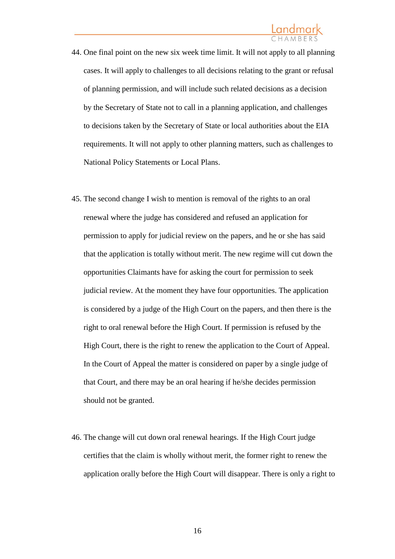### <u>Landmark</u>

- 44. One final point on the new six week time limit. It will not apply to all planning cases. It will apply to challenges to all decisions relating to the grant or refusal of planning permission, and will include such related decisions as a decision by the Secretary of State not to call in a planning application, and challenges to decisions taken by the Secretary of State or local authorities about the EIA requirements. It will not apply to other planning matters, such as challenges to National Policy Statements or Local Plans.
- 45. The second change I wish to mention is removal of the rights to an oral renewal where the judge has considered and refused an application for permission to apply for judicial review on the papers, and he or she has said that the application is totally without merit. The new regime will cut down the opportunities Claimants have for asking the court for permission to seek judicial review. At the moment they have four opportunities. The application is considered by a judge of the High Court on the papers, and then there is the right to oral renewal before the High Court. If permission is refused by the High Court, there is the right to renew the application to the Court of Appeal. In the Court of Appeal the matter is considered on paper by a single judge of that Court, and there may be an oral hearing if he/she decides permission should not be granted.
- 46. The change will cut down oral renewal hearings. If the High Court judge certifies that the claim is wholly without merit, the former right to renew the application orally before the High Court will disappear. There is only a right to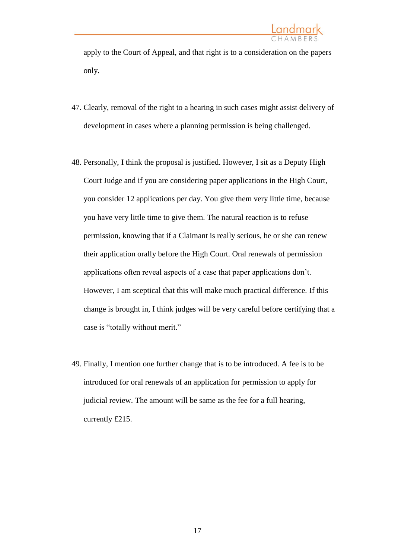apply to the Court of Appeal, and that right is to a consideration on the papers only.

- 47. Clearly, removal of the right to a hearing in such cases might assist delivery of development in cases where a planning permission is being challenged.
- 48. Personally, I think the proposal is justified. However, I sit as a Deputy High Court Judge and if you are considering paper applications in the High Court, you consider 12 applications per day. You give them very little time, because you have very little time to give them. The natural reaction is to refuse permission, knowing that if a Claimant is really serious, he or she can renew their application orally before the High Court. Oral renewals of permission applications often reveal aspects of a case that paper applications don't. However, I am sceptical that this will make much practical difference. If this change is brought in, I think judges will be very careful before certifying that a case is "totally without merit."
- 49. Finally, I mention one further change that is to be introduced. A fee is to be introduced for oral renewals of an application for permission to apply for judicial review. The amount will be same as the fee for a full hearing, currently £215.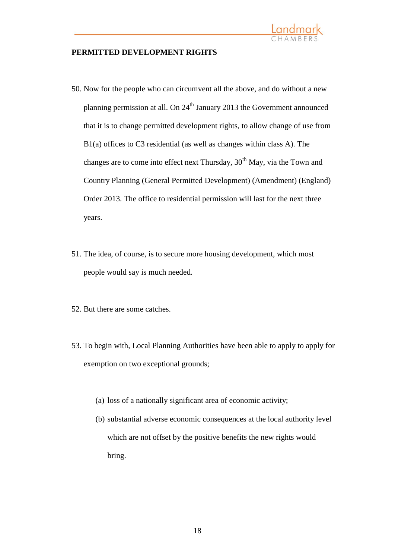

#### **PERMITTED DEVELOPMENT RIGHTS**

- 50. Now for the people who can circumvent all the above, and do without a new planning permission at all. On  $24<sup>th</sup>$  January 2013 the Government announced that it is to change permitted development rights, to allow change of use from B1(a) offices to C3 residential (as well as changes within class A). The changes are to come into effect next Thursday,  $30<sup>th</sup>$  May, via the Town and Country Planning (General Permitted Development) (Amendment) (England) Order 2013. The office to residential permission will last for the next three years.
- 51. The idea, of course, is to secure more housing development, which most people would say is much needed.
- 52. But there are some catches.
- 53. To begin with, Local Planning Authorities have been able to apply to apply for exemption on two exceptional grounds;
	- (a) loss of a nationally significant area of economic activity;
	- (b) substantial adverse economic consequences at the local authority level which are not offset by the positive benefits the new rights would bring.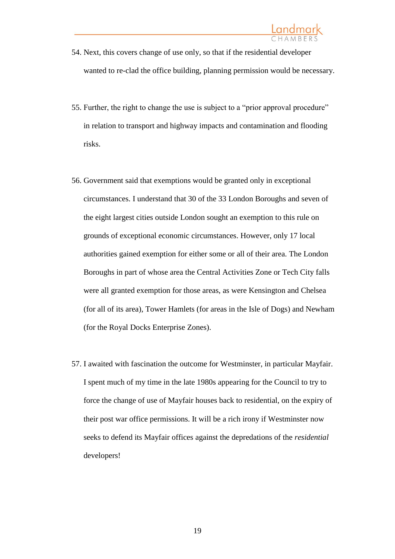- 54. Next, this covers change of use only, so that if the residential developer wanted to re-clad the office building, planning permission would be necessary.
- 55. Further, the right to change the use is subject to a "prior approval procedure" in relation to transport and highway impacts and contamination and flooding risks.
- 56. Government said that exemptions would be granted only in exceptional circumstances. I understand that 30 of the 33 London Boroughs and seven of the eight largest cities outside London sought an exemption to this rule on grounds of exceptional economic circumstances. However, only 17 local authorities gained exemption for either some or all of their area. The London Boroughs in part of whose area the Central Activities Zone or Tech City falls were all granted exemption for those areas, as were Kensington and Chelsea (for all of its area), Tower Hamlets (for areas in the Isle of Dogs) and Newham (for the Royal Docks Enterprise Zones).
- 57. I awaited with fascination the outcome for Westminster, in particular Mayfair. I spent much of my time in the late 1980s appearing for the Council to try to force the change of use of Mayfair houses back to residential, on the expiry of their post war office permissions. It will be a rich irony if Westminster now seeks to defend its Mayfair offices against the depredations of the *residential*  developers!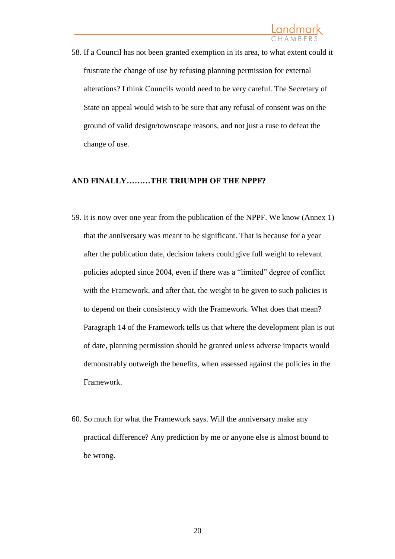58. If a Council has not been granted exemption in its area, to what extent could it frustrate the change of use by refusing planning permission for external alterations? I think Councils would need to be very careful. The Secretary of State on appeal would wish to be sure that any refusal of consent was on the ground of valid design/townscape reasons, and not just a ruse to defeat the change of use.

#### **AND FINALLY………THE TRIUMPH OF THE NPPF?**

- 59. It is now over one year from the publication of the NPPF. We know (Annex 1) that the anniversary was meant to be significant. That is because for a year after the publication date, decision takers could give full weight to relevant policies adopted since 2004, even if there was a "limited" degree of conflict with the Framework, and after that, the weight to be given to such policies is to depend on their consistency with the Framework. What does that mean? Paragraph 14 of the Framework tells us that where the development plan is out of date, planning permission should be granted unless adverse impacts would demonstrably outweigh the benefits, when assessed against the policies in the Framework.
- 60. So much for what the Framework says. Will the anniversary make any practical difference? Any prediction by me or anyone else is almost bound to be wrong.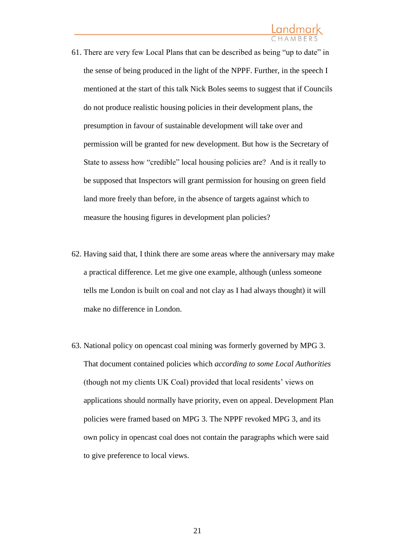- 61. There are very few Local Plans that can be described as being "up to date" in the sense of being produced in the light of the NPPF. Further, in the speech I mentioned at the start of this talk Nick Boles seems to suggest that if Councils do not produce realistic housing policies in their development plans, the presumption in favour of sustainable development will take over and permission will be granted for new development. But how is the Secretary of State to assess how "credible" local housing policies are? And is it really to be supposed that Inspectors will grant permission for housing on green field land more freely than before, in the absence of targets against which to measure the housing figures in development plan policies?
- 62. Having said that, I think there are some areas where the anniversary may make a practical difference. Let me give one example, although (unless someone tells me London is built on coal and not clay as I had always thought) it will make no difference in London.
- 63. National policy on opencast coal mining was formerly governed by MPG 3. That document contained policies which *according to some Local Authorities* (though not my clients UK Coal) provided that local residents' views on applications should normally have priority, even on appeal. Development Plan policies were framed based on MPG 3. The NPPF revoked MPG 3, and its own policy in opencast coal does not contain the paragraphs which were said to give preference to local views.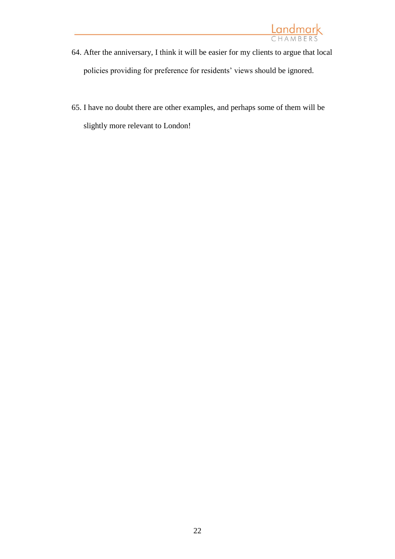

- 64. After the anniversary, I think it will be easier for my clients to argue that local policies providing for preference for residents' views should be ignored.
- 65. I have no doubt there are other examples, and perhaps some of them will be slightly more relevant to London!